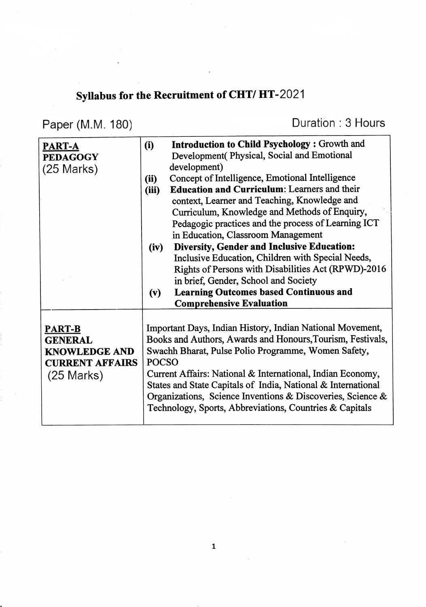## Syllabus for the Recruitment of CHT/HT-2021

Paper (M.M. 180)

Duration: 3 Hours

| PART-A<br><b>PEDAGOGY</b><br>$(25$ Marks)                                                         | <b>Introduction to Child Psychology: Growth and</b><br>(i)<br>Development (Physical, Social and Emotional<br>development)<br>Concept of Intelligence, Emotional Intelligence<br>(ii)<br><b>Education and Curriculum:</b> Learners and their<br>(iii)<br>context, Learner and Teaching, Knowledge and<br>Curriculum, Knowledge and Methods of Enquiry,<br>Pedagogic practices and the process of Learning ICT<br>in Education, Classroom Management<br><b>Diversity, Gender and Inclusive Education:</b><br>(iv) |  |
|---------------------------------------------------------------------------------------------------|-----------------------------------------------------------------------------------------------------------------------------------------------------------------------------------------------------------------------------------------------------------------------------------------------------------------------------------------------------------------------------------------------------------------------------------------------------------------------------------------------------------------|--|
|                                                                                                   | Inclusive Education, Children with Special Needs,<br>Rights of Persons with Disabilities Act (RPWD)-2016<br>in brief, Gender, School and Society<br><b>Learning Outcomes based Continuous and</b><br>(v)<br><b>Comprehensive Evaluation</b>                                                                                                                                                                                                                                                                     |  |
| <b>PART-B</b><br><b>GENERAL</b><br><b>KNOWLEDGE AND</b><br><b>CURRENT AFFAIRS</b><br>$(25$ Marks) | Important Days, Indian History, Indian National Movement,<br>Books and Authors, Awards and Honours, Tourism, Festivals,<br>Swachh Bharat, Pulse Polio Programme, Women Safety,<br><b>POCSO</b><br>Current Affairs: National & International, Indian Economy,<br>States and State Capitals of India, National & International<br>Organizations, Science Inventions & Discoveries, Science &<br>Technology, Sports, Abbreviations, Countries & Capitals                                                           |  |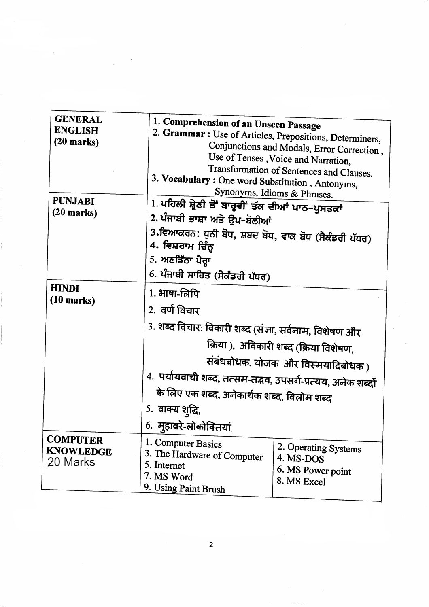| <b>GENERAL</b>                                  |                                                                                     |                                                          |  |  |
|-------------------------------------------------|-------------------------------------------------------------------------------------|----------------------------------------------------------|--|--|
| <b>ENGLISH</b>                                  | 1. Comprehension of an Unseen Passage                                               |                                                          |  |  |
| $(20$ marks)                                    |                                                                                     | 2. Grammar : Use of Articles, Prepositions, Determiners, |  |  |
|                                                 |                                                                                     | Conjunctions and Modals, Error Correction,               |  |  |
|                                                 |                                                                                     | Use of Tenses, Voice and Narration,                      |  |  |
|                                                 |                                                                                     | Transformation of Sentences and Clauses.                 |  |  |
|                                                 | 3. Vocabulary: One word Substitution, Antonyms,                                     |                                                          |  |  |
| <b>PUNJABI</b><br>$(20$ marks)                  |                                                                                     | Synonyms, Idioms & Phrases.                              |  |  |
|                                                 | 1. ਪਹਿਲੀ ਸ਼੍ਰੇਣੀ ਤੋਂ ਬਾਰ੍ਹਵੀਂ ਤੱਕ ਦੀਆਂ ਪਾਠ-ਪੁਸਤਕਾਂ<br>2. ਪੰਜਾਬੀ ਭਾਸ਼ਾ ਅਤੇ ਉਪ-ਬੋਲੀਆਂ |                                                          |  |  |
|                                                 |                                                                                     |                                                          |  |  |
|                                                 | 3.ਵਿਆਕਰਨ: ਧੁਨੀ ਬੋਧ, ਸ਼ਬਦ ਬੋਧ, ਵਾਕ ਬੋਧ (ਸੈਕੰਡਰੀ ਪੱਧਰ)                                |                                                          |  |  |
|                                                 | 4. ਵਿਸ਼ਰਾਮ ਚਿੰਨ੍ਹ                                                                   |                                                          |  |  |
|                                                 |                                                                                     | 5. $M$ ਣਡਿੱਠਾ ਪੈਰ੍ਹਾ                                     |  |  |
|                                                 |                                                                                     | 6. ਪੰਜਾਬੀ ਸਾਹਿਤ (ਸੈਕੰਡਰੀ ਪੱਧਰ)                           |  |  |
| <b>HINDI</b><br>$(10 \text{ marks})$            | $1.3$ गण-लिपि                                                                       |                                                          |  |  |
|                                                 | 2. वर्ण विचार                                                                       |                                                          |  |  |
|                                                 | 3. शब्द विचार: विकारी शब्द (संज्ञा, सर्वनाम, विशेषण और                              |                                                          |  |  |
|                                                 | क्रिया ), अविकारी शब्द (क्रिया विशेषण,                                              |                                                          |  |  |
|                                                 | संबंधबोधक, योजक और विस्मयादिबोधक)                                                   |                                                          |  |  |
|                                                 | 4. पर्यायवाची शब्द, तत्सम-तद्भव, उपसर्ग-प्रत्यय, अनेक शब्दों                        |                                                          |  |  |
|                                                 | के लिए एक शब्द, अनेकार्थक शब्द, विलोम शब्द                                          |                                                          |  |  |
|                                                 | 5. वाक्य शुद्धि,                                                                    |                                                          |  |  |
|                                                 | 6. मुहावरे-लोकोक्तियां                                                              |                                                          |  |  |
| <b>COMPUTER</b><br><b>KNOWLEDGE</b><br>20 Marks | 1. Computer Basics                                                                  | 2. Operating Systems                                     |  |  |
|                                                 | 3. The Hardware of Computer                                                         | 4. MS-DOS                                                |  |  |
|                                                 | 5. Internet                                                                         | 6. MS Power point                                        |  |  |
|                                                 | 7. MS Word                                                                          | 8. MS Excel                                              |  |  |
|                                                 | 9. Using Paint Brush                                                                |                                                          |  |  |